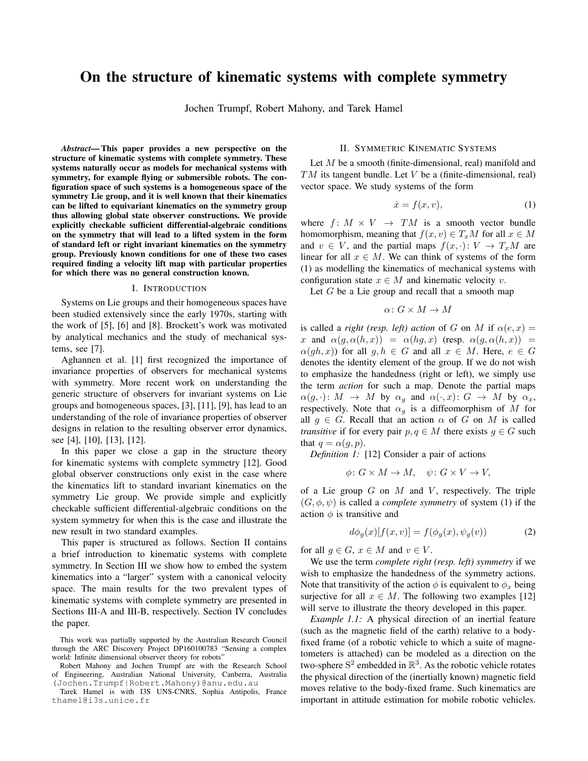# On the structure of kinematic systems with complete symmetry

Jochen Trumpf, Robert Mahony, and Tarek Hamel

*Abstract*— This paper provides a new perspective on the structure of kinematic systems with complete symmetry. These systems naturally occur as models for mechanical systems with symmetry, for example flying or submersible robots. The configuration space of such systems is a homogeneous space of the symmetry Lie group, and it is well known that their kinematics can be lifted to equivariant kinematics on the symmetry group thus allowing global state observer constructions. We provide explicitly checkable sufficient differential-algebraic conditions on the symmetry that will lead to a lifted system in the form of standard left or right invariant kinematics on the symmetry group. Previously known conditions for one of these two cases required finding a velocity lift map with particular properties for which there was no general construction known.

#### I. INTRODUCTION

Systems on Lie groups and their homogeneous spaces have been studied extensively since the early 1970s, starting with the work of [5], [6] and [8]. Brockett's work was motivated by analytical mechanics and the study of mechanical systems, see [7].

Aghannen et al. [1] first recognized the importance of invariance properties of observers for mechanical systems with symmetry. More recent work on understanding the generic structure of observers for invariant systems on Lie groups and homogeneous spaces, [3], [11], [9], has lead to an understanding of the role of invariance properties of observer designs in relation to the resulting observer error dynamics, see [4], [10], [13], [12].

In this paper we close a gap in the structure theory for kinematic systems with complete symmetry [12]. Good global observer constructions only exist in the case where the kinematics lift to standard invariant kinematics on the symmetry Lie group. We provide simple and explicitly checkable sufficient differential-algebraic conditions on the system symmetry for when this is the case and illustrate the new result in two standard examples.

This paper is structured as follows. Section II contains a brief introduction to kinematic systems with complete symmetry. In Section III we show how to embed the system kinematics into a "larger" system with a canonical velocity space. The main results for the two prevalent types of kinematic systems with complete symmetry are presented in Sections III-A and III-B, respectively. Section IV concludes the paper.

## II. SYMMETRIC KINEMATIC SYSTEMS

Let M be a smooth (finite-dimensional, real) manifold and  $TM$  its tangent bundle. Let V be a (finite-dimensional, real) vector space. We study systems of the form

$$
\dot{x} = f(x, v),\tag{1}
$$

where  $f: M \times V \rightarrow TM$  is a smooth vector bundle homomorphism, meaning that  $f(x, v) \in T_xM$  for all  $x \in M$ and  $v \in V$ , and the partial maps  $f(x, \cdot): V \to T_xM$  are linear for all  $x \in M$ . We can think of systems of the form (1) as modelling the kinematics of mechanical systems with configuration state  $x \in M$  and kinematic velocity v.

Let  $G$  be a Lie group and recall that a smooth map

$$
\alpha\colon G\times M\to M
$$

is called a *right (resp. left)* action of G on M if  $\alpha(e, x) =$ x and  $\alpha(q, \alpha(h, x)) = \alpha(hq, x)$  (resp.  $\alpha(q, \alpha(h, x)) =$  $\alpha(gh, x)$  for all  $g, h \in G$  and all  $x \in M$ . Here,  $e \in G$ denotes the identity element of the group. If we do not wish to emphasize the handedness (right or left), we simply use the term *action* for such a map. Denote the partial maps  $\alpha(g, \cdot) : M \to M$  by  $\alpha_g$  and  $\alpha(\cdot, x) : G \to M$  by  $\alpha_x$ , respectively. Note that  $\alpha_g$  is a diffeomorphism of M for all  $q \in G$ . Recall that an action  $\alpha$  of G on M is called *transitive* if for every pair  $p, q \in M$  there exists  $q \in G$  such that  $q = \alpha(g, p)$ .

*Definition 1:* [12] Consider a pair of actions

$$
\phi \colon G \times M \to M, \quad \psi \colon G \times V \to V,
$$

of a Lie group  $G$  on  $M$  and  $V$ , respectively. The triple  $(G, \phi, \psi)$  is called a *complete symmetry* of system (1) if the action  $\phi$  is transitive and

$$
d\phi_g(x)[f(x,v)] = f(\phi_g(x), \psi_g(v))
$$
 (2)

for all  $g \in G$ ,  $x \in M$  and  $v \in V$ .

We use the term *complete right (resp. left) symmetry* if we wish to emphasize the handedness of the symmetry actions. Note that transitivity of the action  $\phi$  is equivalent to  $\phi_x$  being surjective for all  $x \in M$ . The following two examples [12] will serve to illustrate the theory developed in this paper.

*Example 1.1:* A physical direction of an inertial feature (such as the magnetic field of the earth) relative to a bodyfixed frame (of a robotic vehicle to which a suite of magnetometers is attached) can be modeled as a direction on the two-sphere  $S^2$  embedded in  $\mathbb{R}^3$ . As the robotic vehicle rotates the physical direction of the (inertially known) magnetic field moves relative to the body-fixed frame. Such kinematics are important in attitude estimation for mobile robotic vehicles.

This work was partially supported by the Australian Research Council through the ARC Discovery Project DP160100783 "Sensing a complex world: Infinite dimensional observer theory for robots"

Robert Mahony and Jochen Trumpf are with the Research School of Engineering, Australian National University, Canberra, Australia (Jochen.Trumpf|Robert.Mahony)@anu.edu.au

Tarek Hamel is with I3S UNS-CNRS, Sophia Antipolis, France thamel@i3s.unice.fr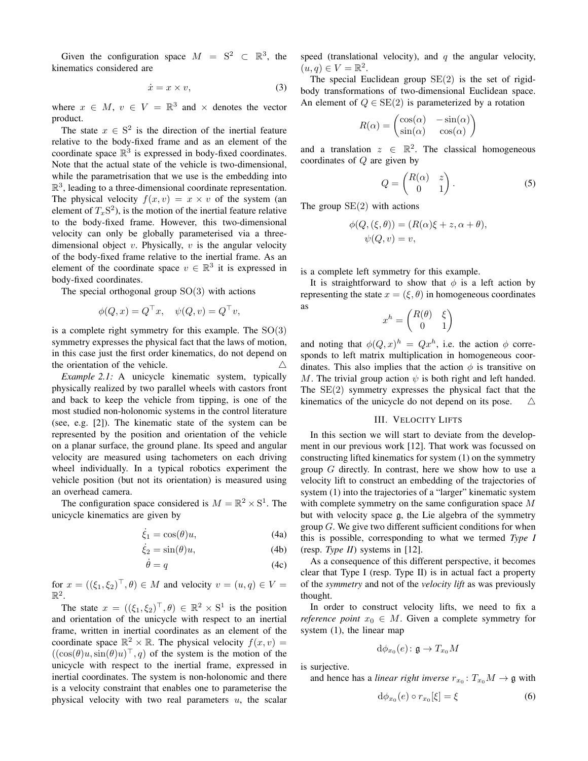Given the configuration space  $M = S^2 \subset \mathbb{R}^3$ , the kinematics considered are

$$
\dot{x} = x \times v,\tag{3}
$$

where  $x \in M$ ,  $v \in V = \mathbb{R}^3$  and  $\times$  denotes the vector product.

The state  $x \in S^2$  is the direction of the inertial feature relative to the body-fixed frame and as an element of the coordinate space  $\mathbb{R}^3$  is expressed in body-fixed coordinates. Note that the actual state of the vehicle is two-dimensional, while the parametrisation that we use is the embedding into  $\mathbb{R}^3$ , leading to a three-dimensional coordinate representation. The physical velocity  $f(x, v) = x \times v$  of the system (an element of  $T_xS^2$ ), is the motion of the inertial feature relative to the body-fixed frame. However, this two-dimensional velocity can only be globally parameterised via a threedimensional object  $v$ . Physically,  $v$  is the angular velocity of the body-fixed frame relative to the inertial frame. As an element of the coordinate space  $v \in \mathbb{R}^3$  it is expressed in body-fixed coordinates.

The special orthogonal group  $SO(3)$  with actions

$$
\phi(Q, x) = Q^{\top} x, \quad \psi(Q, v) = Q^{\top} v,
$$

is a complete right symmetry for this example. The  $SO(3)$ symmetry expresses the physical fact that the laws of motion, in this case just the first order kinematics, do not depend on the orientation of the vehicle.  $\triangle$ 

*Example 2.1:* A unicycle kinematic system, typically physically realized by two parallel wheels with castors front and back to keep the vehicle from tipping, is one of the most studied non-holonomic systems in the control literature (see, e.g. [2]). The kinematic state of the system can be represented by the position and orientation of the vehicle on a planar surface, the ground plane. Its speed and angular velocity are measured using tachometers on each driving wheel individually. In a typical robotics experiment the vehicle position (but not its orientation) is measured using an overhead camera.

The configuration space considered is  $M = \mathbb{R}^2 \times S^1$ . The unicycle kinematics are given by

$$
\dot{\xi}_1 = \cos(\theta)u,\tag{4a}
$$

$$
\dot{\xi}_2 = \sin(\theta)u,\tag{4b}
$$

$$
\dot{\theta} = q \tag{4c}
$$

for  $x = ((\xi_1, \xi_2)^\top, \theta) \in M$  and velocity  $v = (u, q) \in V =$  $\mathbb{R}^2$ .

The state  $x = ((\xi_1, \xi_2)^{\top}, \theta) \in \mathbb{R}^2 \times S^1$  is the position and orientation of the unicycle with respect to an inertial frame, written in inertial coordinates as an element of the coordinate space  $\mathbb{R}^2 \times \mathbb{R}$ . The physical velocity  $f(x, v) =$  $((\cos(\theta)u, \sin(\theta)u)^{\top}, q)$  of the system is the motion of the unicycle with respect to the inertial frame, expressed in inertial coordinates. The system is non-holonomic and there is a velocity constraint that enables one to parameterise the physical velocity with two real parameters  $u$ , the scalar speed (translational velocity), and  $q$  the angular velocity,  $(u, q) \in V = \mathbb{R}^2$ .

The special Euclidean group  $SE(2)$  is the set of rigidbody transformations of two-dimensional Euclidean space. An element of  $Q \in SE(2)$  is parameterized by a rotation

$$
R(\alpha) = \begin{pmatrix} \cos(\alpha) & -\sin(\alpha) \\ \sin(\alpha) & \cos(\alpha) \end{pmatrix}
$$

and a translation  $z \in \mathbb{R}^2$ . The classical homogeneous coordinates of Q are given by

$$
Q = \begin{pmatrix} R(\alpha) & z \\ 0 & 1 \end{pmatrix}.
$$
 (5)

The group  $SE(2)$  with actions

$$
\phi(Q, (\xi, \theta)) = (R(\alpha)\xi + z, \alpha + \theta),
$$
  

$$
\psi(Q, v) = v,
$$

is a complete left symmetry for this example.

It is straightforward to show that  $\phi$  is a left action by representing the state  $x = (\xi, \theta)$  in homogeneous coordinates as

$$
x^h = \begin{pmatrix} R(\theta) & \xi \\ 0 & 1 \end{pmatrix}
$$

and noting that  $\phi(Q, x)^h = Qx^h$ , i.e. the action  $\phi$  corresponds to left matrix multiplication in homogeneous coordinates. This also implies that the action  $\phi$  is transitive on M. The trivial group action  $\psi$  is both right and left handed. The  $SE(2)$  symmetry expresses the physical fact that the kinematics of the unicycle do not depend on its pose.  $\triangle$ 

### III. VELOCITY LIFTS

In this section we will start to deviate from the development in our previous work [12]. That work was focussed on constructing lifted kinematics for system (1) on the symmetry group G directly. In contrast, here we show how to use a velocity lift to construct an embedding of the trajectories of system (1) into the trajectories of a "larger" kinematic system with complete symmetry on the same configuration space M but with velocity space g, the Lie algebra of the symmetry group  $G$ . We give two different sufficient conditions for when this is possible, corresponding to what we termed *Type I* (resp. *Type II*) systems in [12].

As a consequence of this different perspective, it becomes clear that Type I (resp. Type II) is in actual fact a property of the *symmetry* and not of the *velocity lift* as was previously thought.

In order to construct velocity lifts, we need to fix a *reference point*  $x_0 \in M$ . Given a complete symmetry for system (1), the linear map

$$
\mathrm{d}\phi_{x_0}(e) \colon \mathfrak{g} \to T_{x_0}M
$$

is surjective.

and hence has a *linear right inverse*  $r_{x_0}$ :  $T_{x_0}M \to \mathfrak{g}$  with

$$
d\phi_{x_0}(e) \circ r_{x_0}[\xi] = \xi \tag{6}
$$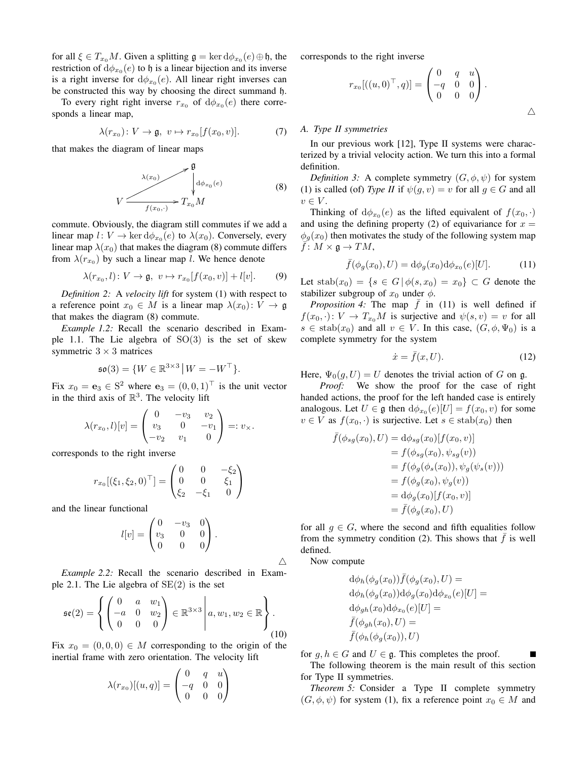for all  $\xi \in T_{x_0}M$ . Given a splitting  $\mathfrak{g} = \ker \mathrm{d}\phi_{x_0}(e) \oplus \mathfrak{h}$ , the restriction of  $d\phi_{x_0}(e)$  to h is a linear bijection and its inverse is a right inverse for  $d\phi_{x_0}(e)$ . All linear right inverses can be constructed this way by choosing the direct summand h.

To every right right inverse  $r_{x_0}$  of  $d\phi_{x_0}(e)$  there corresponds a linear map,

$$
\lambda(r_{x_0}): V \to \mathfrak{g}, \ v \mapsto r_{x_0}[f(x_0, v)]. \tag{7}
$$

that makes the diagram of linear maps

$$
V \xrightarrow{\lambda(x_0)} T_{x_0} \downarrow^{\mathfrak{g}} \downarrow^{\lambda(x_0)} \downarrow^{\lambda(x_0)}
$$
\n
$$
V \xrightarrow{f(x_0, \cdot)} T_{x_0} M
$$
\n
$$
(8)
$$

commute. Obviously, the diagram still commutes if we add a linear map  $l: V \to \ker d\phi_{x_0}(e)$  to  $\lambda(x_0)$ . Conversely, every linear map  $\lambda(x_0)$  that makes the diagram (8) commute differs from  $\lambda(r_{x_0})$  by such a linear map l. We hence denote

$$
\lambda(r_{x_0}, l) \colon V \to \mathfrak{g}, \ v \mapsto r_{x_0}[f(x_0, v)] + l[v]. \tag{9}
$$

*Definition 2:* A *velocity lift* for system (1) with respect to a reference point  $x_0 \in M$  is a linear map  $\lambda(x_0): V \to \mathfrak{g}$ that makes the diagram (8) commute.

*Example 1.2:* Recall the scenario described in Example 1.1. The Lie algebra of  $SO(3)$  is the set of skew symmetric  $3 \times 3$  matrices

$$
\mathfrak{so}(3) = \{ W \in \mathbb{R}^{3 \times 3} \, \big| \, W = -W^\top \}.
$$

Fix  $x_0 = \mathbf{e}_3 \in \mathbb{S}^2$  where  $\mathbf{e}_3 = (0, 0, 1)^\top$  is the unit vector in the third axis of  $\mathbb{R}^3$ . The velocity lift

$$
\lambda(r_{x_0}, l)[v] = \begin{pmatrix} 0 & -v_3 & v_2 \\ v_3 & 0 & -v_1 \\ -v_2 & v_1 & 0 \end{pmatrix} =: v_{\times}.
$$

corresponds to the right inverse

$$
r_{x_0}[(\xi_1, \xi_2, 0)^{\top}] = \begin{pmatrix} 0 & 0 & -\xi_2 \\ 0 & 0 & \xi_1 \\ \xi_2 & -\xi_1 & 0 \end{pmatrix}
$$

and the linear functional

$$
l[v] = \begin{pmatrix} 0 & -v_3 & 0 \\ v_3 & 0 & 0 \\ 0 & 0 & 0 \end{pmatrix}.
$$

*Example 2.2:* Recall the scenario described in Example 2.1. The Lie algebra of  $SE(2)$  is the set

$$
\mathfrak{se}(2) = \left\{ \begin{pmatrix} 0 & a & w_1 \\ -a & 0 & w_2 \\ 0 & 0 & 0 \end{pmatrix} \in \mathbb{R}^{3 \times 3} \middle| a, w_1, w_2 \in \mathbb{R} \right\}.
$$
\n(10)

Fix  $x_0 = (0, 0, 0) \in M$  corresponding to the origin of the inertial frame with zero orientation. The velocity lift

$$
\lambda(r_{x_0})[(u,q)] = \begin{pmatrix} 0 & q & u \\ -q & 0 & 0 \\ 0 & 0 & 0 \end{pmatrix}
$$

corresponds to the right inverse

$$
r_{x_0}[((u,0)^{\top}, q)] = \begin{pmatrix} 0 & q & u \\ -q & 0 & 0 \\ 0 & 0 & 0 \end{pmatrix}.
$$

 $\triangle$ 

#### *A. Type II symmetries*

In our previous work [12], Type II systems were characterized by a trivial velocity action. We turn this into a formal definition.

*Definition 3:* A complete symmetry  $(G, \phi, \psi)$  for system (1) is called (of) *Type II* if  $\psi(g, v) = v$  for all  $g \in G$  and all  $v \in V$ .

Thinking of  $d\phi_{x_0}(e)$  as the lifted equivalent of  $f(x_0, \cdot)$ and using the defining property (2) of equivariance for  $x =$  $\phi_q(x_0)$  then motivates the study of the following system map  $\bar{f} : M \times \mathfrak{g} \to TM$ ,

$$
\bar{f}(\phi_g(x_0), U) = d\phi_g(x_0) d\phi_{x_0}(e)[U].
$$
 (11)

Let  $stab(x_0) = \{s \in G \mid \phi(s, x_0) = x_0\} \subset G$  denote the stabilizer subgroup of  $x_0$  under  $\phi$ .

*Proposition 4:* The map  $f$  in (11) is well defined if  $f(x_0, \cdot): V \to T_{x_0}M$  is surjective and  $\psi(s, v) = v$  for all  $s \in \text{stab}(x_0)$  and all  $v \in V$ . In this case,  $(G, \phi, \Psi_0)$  is a complete symmetry for the system

$$
\dot{x} = \bar{f}(x, U). \tag{12}
$$

Here,  $\Psi_0(q, U) = U$  denotes the trivial action of G on g.

*Proof:* We show the proof for the case of right handed actions, the proof for the left handed case is entirely analogous. Let  $U \in \mathfrak{g}$  then  $d\phi_{x_0}(e)[U] = f(x_0, v)$  for some  $v \in V$  as  $f(x_0, \cdot)$  is surjective. Let  $s \in \text{stab}(x_0)$  then

$$
\bar{f}(\phi_{sg}(x_0), U) = d\phi_{sg}(x_0)[f(x_0, v)] \n= f(\phi_{sg}(x_0), \psi_{sg}(v)) \n= f(\phi_g(\phi_s(x_0)), \psi_g(\psi_s(v))) \n= f(\phi_g(x_0), \psi_g(v)) \n= d\phi_g(x_0)[f(x_0, v)] \n= \bar{f}(\phi_g(x_0), U)
$$

for all  $q \in G$ , where the second and fifth equalities follow from the symmetry condition (2). This shows that  $f$  is well defined.

Now compute

 $\triangle$ 

$$
d\phi_h(\phi_g(x_0))\overline{f}(\phi_g(x_0), U) =
$$
  
\n
$$
d\phi_h(\phi_g(x_0))d\phi_g(x_0)d\phi_{x_0}(e)[U] =
$$
  
\n
$$
d\phi_{gh}(x_0)d\phi_{x_0}(e)[U] =
$$
  
\n
$$
\overline{f}(\phi_{gh}(x_0), U) =
$$
  
\n
$$
\overline{f}(\phi_h(\phi_g(x_0)), U)
$$

for  $g, h \in G$  and  $U \in \mathfrak{g}$ . This completes the proof. The following theorem is the main result of this section for Type II symmetries.

*Theorem 5:* Consider a Type II complete symmetry  $(G, \phi, \psi)$  for system (1), fix a reference point  $x_0 \in M$  and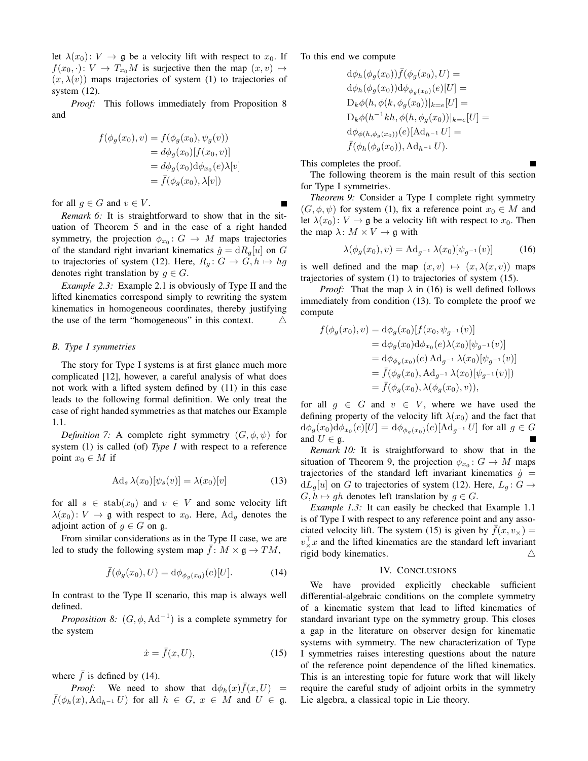let  $\lambda(x_0)$ :  $V \to \mathfrak{g}$  be a velocity lift with respect to  $x_0$ . If  $f(x_0, \cdot): V \to T_{x_0}M$  is surjective then the map  $(x, v) \mapsto$  $(x, \lambda(v))$  maps trajectories of system (1) to trajectories of system (12).

*Proof:* This follows immediately from Proposition 8 and

$$
f(\phi_g(x_0), v) = f(\phi_g(x_0), \psi_g(v))
$$
  
=  $d\phi_g(x_0)[f(x_0, v)]$   
=  $d\phi_g(x_0)d\phi_{x_0}(e)\lambda[v]$   
=  $\bar{f}(\phi_g(x_0), \lambda[v])$ 

for all  $g \in G$  and  $v \in V$ .

*Remark 6:* It is straightforward to show that in the situation of Theorem 5 and in the case of a right handed symmetry, the projection  $\phi_{x_0} : G \to M$  maps trajectories of the standard right invariant kinematics  $\dot{q} = dR_q[u]$  on G to trajectories of system (12). Here,  $R_q: G \to G, h \mapsto hg$ denotes right translation by  $q \in G$ .

*Example 2.3:* Example 2.1 is obviously of Type II and the lifted kinematics correspond simply to rewriting the system kinematics in homogeneous coordinates, thereby justifying the use of the term "homogeneous" in this context.  $\Delta$ 

## *B. Type I symmetries*

The story for Type I systems is at first glance much more complicated [12], however, a careful analysis of what does not work with a lifted system defined by (11) in this case leads to the following formal definition. We only treat the case of right handed symmetries as that matches our Example 1.1.

*Definition 7:* A complete right symmetry  $(G, \phi, \psi)$  for system (1) is called (of) *Type I* with respect to a reference point  $x_0 \in M$  if

$$
\text{Ad}_s \,\lambda(x_0)[\psi_s(v)] = \lambda(x_0)[v] \tag{13}
$$

for all  $s \in \text{stab}(x_0)$  and  $v \in V$  and some velocity lift  $\lambda(x_0): V \to \mathfrak{g}$  with respect to  $x_0$ . Here, Ad<sub>a</sub> denotes the adjoint action of  $q \in G$  on  $\mathfrak{g}$ .

From similar considerations as in the Type II case, we are led to study the following system map  $\bar{f}$ :  $M \times \mathfrak{g} \rightarrow TM$ ,

$$
\bar{f}(\phi_g(x_0), U) = d\phi_{\phi_g(x_0)}(e)[U].
$$
\n(14)

In contrast to the Type II scenario, this map is always well defined.

*Proposition 8:*  $(G, \phi, \text{Ad}^{-1})$  is a complete symmetry for the system

$$
\dot{x} = \bar{f}(x, U),\tag{15}
$$

where  $\bar{f}$  is defined by (14).

*Proof:* We need to show that  $d\phi_h(x)\bar{f}(x,U)$  =  $\bar{f}(\phi_h(x), \mathrm{Ad}_{h^{-1}} U)$  for all  $h \in G$ ,  $x \in M$  and  $U \in \mathfrak{g}$ .

## To this end we compute

$$
d\phi_h(\phi_g(x_0))\bar{f}(\phi_g(x_0), U) =
$$
  
\n
$$
d\phi_h(\phi_g(x_0))d\phi_{\phi_g(x_0)}(e)[U] =
$$
  
\n
$$
D_k\phi(h, \phi(k, \phi_g(x_0))|_{k=e}[U] =
$$
  
\n
$$
D_k\phi(h^{-1}kh, \phi(h, \phi_g(x_0))|_{k=e}[U] =
$$
  
\n
$$
d\phi_{\phi(h, \phi_g(x_0))}(e)[Ad_{h^{-1}} U] =
$$
  
\n
$$
\bar{f}(\phi_h(\phi_g(x_0)), Ad_{h^{-1}} U).
$$

This completes the proof.

The following theorem is the main result of this section for Type I symmetries.

*Theorem 9:* Consider a Type I complete right symmetry  $(G, \phi, \psi)$  for system (1), fix a reference point  $x_0 \in M$  and let  $\lambda(x_0): V \to \mathfrak{g}$  be a velocity lift with respect to  $x_0$ . Then the map  $\lambda: M \times V \to \mathfrak{g}$  with

$$
\lambda(\phi_g(x_0), v) = \text{Ad}_{g^{-1}} \lambda(x_0)[\psi_{g^{-1}}(v)] \tag{16}
$$

is well defined and the map  $(x, v) \mapsto (x, \lambda(x, v))$  maps trajectories of system (1) to trajectories of system (15).

*Proof:* That the map  $\lambda$  in (16) is well defined follows immediately from condition (13). To complete the proof we compute

$$
f(\phi_g(x_0), v) = d\phi_g(x_0)[f(x_0, \psi_{g^{-1}}(v)]
$$
  
=  $d\phi_g(x_0)d\phi_{x_0}(e)\lambda(x_0)[\psi_{g^{-1}}(v)]$   
=  $d\phi_{\phi_g(x_0)}(e) Ad_{g^{-1}}\lambda(x_0)[\psi_{g^{-1}}(v)]$   
=  $\bar{f}(\phi_g(x_0), Ad_{g^{-1}}\lambda(x_0)[\psi_{g^{-1}}(v)])$   
=  $\bar{f}(\phi_g(x_0), \lambda(\phi_g(x_0), v)),$ 

for all  $g \in G$  and  $v \in V$ , where we have used the defining property of the velocity lift  $\lambda(x_0)$  and the fact that  ${\rm d}\phi_g(x_0){\rm d}\phi_{x_0}(e)[U]={\rm d}\phi_{\phi_g(x_0)}(e)[{\rm Ad}_{g^{-1}}\,U]$  for all  $g\in G$ and  $U \in \mathfrak{g}$ .

*Remark 10:* It is straightforward to show that in the situation of Theorem 9, the projection  $\phi_{x_0}: G \to M$  maps trajectories of the standard left invariant kinematics  $\dot{g}$  =  $dL_q[u]$  on G to trajectories of system (12). Here,  $L_q: G \rightarrow$  $G, h \mapsto gh$  denotes left translation by  $g \in G$ .

*Example 1.3:* It can easily be checked that Example 1.1 is of Type I with respect to any reference point and any associated velocity lift. The system (15) is given by  $f(x, v_x) =$  $v_{\times}^{\top} x$  and the lifted kinematics are the standard left invariant rigid body kinematics.  $\triangle$ 

## IV. CONCLUSIONS

We have provided explicitly checkable sufficient differential-algebraic conditions on the complete symmetry of a kinematic system that lead to lifted kinematics of standard invariant type on the symmetry group. This closes a gap in the literature on observer design for kinematic systems with symmetry. The new characterization of Type I symmetries raises interesting questions about the nature of the reference point dependence of the lifted kinematics. This is an interesting topic for future work that will likely require the careful study of adjoint orbits in the symmetry Lie algebra, a classical topic in Lie theory.